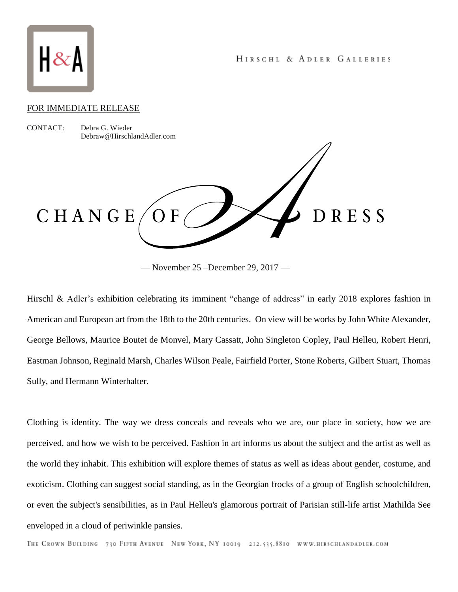

## FOR IMMEDIATE RELEASE

CONTACT: Debra G. Wieder Debraw@HirschlandAdler.com

CHANGE

Hirschl & Adler's exhibition celebrating its imminent "change of address" in early 2018 explores fashion in American and European art from the 18th to the 20th centuries. On view will be works by John White Alexander, George Bellows, Maurice Boutet de Monvel, Mary Cassatt, John Singleton Copley, Paul Helleu, Robert Henri, Eastman Johnson, Reginald Marsh, Charles Wilson Peale, Fairfield Porter, Stone Roberts, Gilbert Stuart, Thomas Sully, and Hermann Winterhalter.

Clothing is identity. The way we dress conceals and reveals who we are, our place in society, how we are perceived, and how we wish to be perceived. Fashion in art informs us about the subject and the artist as well as the world they inhabit. This exhibition will explore themes of status as well as ideas about gender, costume, and exoticism. Clothing can suggest social standing, as in the Georgian frocks of a group of English schoolchildren, or even the subject's sensibilities, as in Paul Helleu's glamorous portrait of Parisian still-life artist Mathilda See enveloped in a cloud of periwinkle pansies.

<sup>—</sup> November 25 –December 29, 2017 —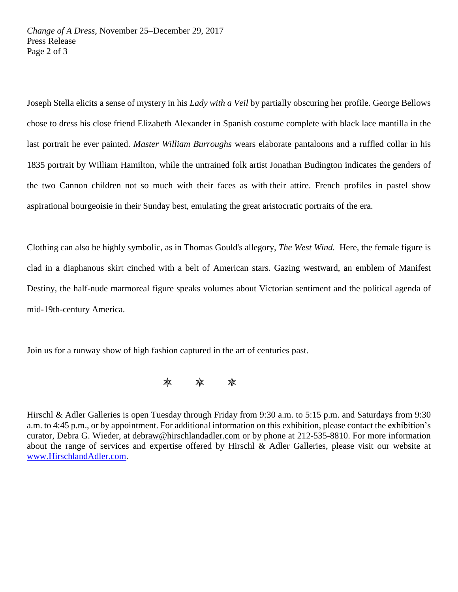Joseph Stella elicits a sense of mystery in his *Lady with a Veil* by partially obscuring her profile. George Bellows chose to dress his close friend Elizabeth Alexander in Spanish costume complete with black lace mantilla in the last portrait he ever painted. *Master William Burroughs* wears elaborate pantaloons and a ruffled collar in his 1835 portrait by William Hamilton, while the untrained folk artist Jonathan Budington indicates the genders of the two Cannon children not so much with their faces as with their attire. French profiles in pastel show aspirational bourgeoisie in their Sunday best, emulating the great aristocratic portraits of the era.

Clothing can also be highly symbolic, as in Thomas Gould's allegory, *The West Wind.* Here, the female figure is clad in a diaphanous skirt cinched with a belt of American stars. Gazing westward, an emblem of Manifest Destiny, the half-nude marmoreal figure speaks volumes about Victorian sentiment and the political agenda of mid-19th-century America.

Join us for a runway show of high fashion captured in the art of centuries past.



Hirschl & Adler Galleries is open Tuesday through Friday from 9:30 a.m. to 5:15 p.m. and Saturdays from 9:30 a.m. to 4:45 p.m., or by appointment. For additional information on this exhibition, please contact the exhibition's curator, Debra G. Wieder, at [debraw@hirschlandadler.com](mailto:debraw@hirschlandadler.com) or by phone at 212-535-8810. For more information about the range of services and expertise offered by Hirschl & Adler Galleries, please visit our website at www.HirschlandAdler.com.